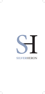

## **SILVER**HERON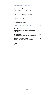| PRE-DINNER COCKTAILS                                                                                     | €    |
|----------------------------------------------------------------------------------------------------------|------|
| Infused Cucumber Gin<br>Gin, fresh lime juice, sugar syrup, fresh mint leaves                            | 7.00 |
| Mojito<br>Rum, lime, fresh mint, demerara sugar, soda water                                              | 8.00 |
| Negroni<br>Gin, campari, vermouth rosso                                                                  | 7.50 |
| Pink Gin<br>Pink gin, lemonade, prosecco                                                                 | 7.50 |
| <b>AFTER DINNER COCKTAILS</b>                                                                            | €    |
| Jazzed Up Mocha<br>Double espresso, kahlua, whisky, chocolate cream,<br>sugar syrup                      | 8.50 |
| Manhattan<br>Bourbon, vermouth, angostura bitters, orange bitters                                        | 7.00 |
| Orange & Cinnamon Gin<br>Homemade orange and cinnamon infused gin,<br>squeezed orange wedge, tonic water | 7.50 |
| Pina Colada<br>Rum, pineapple juice, coconut syrup, fresh cream                                          | 7.00 |

I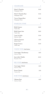| CHAMPAGNE                                                           | €     |
|---------------------------------------------------------------------|-------|
| Moet & Chandon<br>Champagne, France                                 | 70.00 |
| Moet & Chandon Rosé<br>Champagne, France                            | 95.00 |
| Veuve Clicquot Brut<br>Champagne, France                            | 90.00 |
| <b>SPARKLING WINE</b>                                               | €     |
| Brilla Prosecco<br>Veneto, Italy                                    | 22.00 |
| Brilla Prosecc Rosé<br>Veneto, Italy                                | 22.00 |
| Cassar De Malte<br>Marsovin, Malta                                  | 55.00 |
| Gellewza Frizzante<br>Delicata, Malta                               | 15.00 |
| Ruggeri Prosecco<br>Veneto, Italy                                   | 23.00 |
| $\operatorname{\rm WHITE}$ $\operatorname{\rm WINE}$ (Half Bottles) | €     |
| Caravaggio, Chardonnay<br>Marsovin, Malta                           | 12.00 |
| Jean Lefort Chablis<br>Burgundy, France                             | 20.00 |
| RED WINE (Half Bottles)                                             | €     |
| Caravaggio, Merlot<br>Marsovin, Malta                               | 12.00 |
| Piccini Chianti<br>Tuscany, Italy                                   | 11.OO |
| ROSÉ WINE (Half Bottles)                                            | €     |
| Odyssey Rosé<br>Marsovin, Malta                                     | 14.00 |

I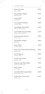| WHITE WINE                                                 | €     |
|------------------------------------------------------------|-------|
| Alamos Torrontés<br>Salta, Argentina                       | 23.00 |
| <b>Bernard Defaix Chablis</b><br>Burgundy, Fance           | 30.00 |
| Canapi Grillo<br>Marsala, Italy                            | 16.00 |
| Caravaggio Pinot Bianco<br>Marsovin, Malta                 | 22.00 |
| Cape Heights Chenin Blanc<br>Western Cape, South Africa    | 16.00 |
| Cape Heights Sauvignon Blanc<br>Western Cape, South Africa | 16.00 |
| Domaine Laporte Sancerre<br>Sancerre, France               | 38.00 |
| Donnafugata Anthilia<br>Sicily, Italy                      | 26.00 |
| Fenici White<br>Meridiana, Malta                           | 19.00 |
| Grand Vin De Hauteville Chardonnay<br>Delicata, Malta      | 24.00 |
| Isis Chardonnay<br>Meridiana, Malta                        | 29.00 |
| Laurenti Vermentino<br>Camilleri, Malta                    | 27.00 |
| Leopard's Leap Chenin Blanc<br>Western Cape, South Africa  | 19.00 |
| Santa Cristina<br>Tuscany, Italy                           | 19.00 |
| Santa Rita 120 Sauvignon Blanc<br>Central Valley, Chile    | 22.00 |
| Umberto Fiore Gavi di Gavi<br>Piedmont, Italy              | 25.00 |

I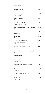| <b>RED WINE</b>                                                  | €     |
|------------------------------------------------------------------|-------|
| Alamos Malbec<br>Mendoza, Argentina                              | 23.00 |
| Angove Long Row Shiraz<br>South Australia                        | 19.00 |
| Cadis Valpolicella<br>Veneto, Italy                              | 20.00 |
| Cape Heights Pinotage<br>Western Cape, South Africa              | 16.00 |
| Château La Tuilerie Merlot Cabernet<br>Bordeaux, France          | 24.OO |
| Chianti Classico<br>Tuscany, Italy                               | 26.00 |
| Fenici Red<br>Meridiana, Malta                                   | 19.00 |
| Grand Vin De Hauteville<br>Cabernet Sauvignon<br>Delicata, Malta | 19.00 |
| Marques De Caceres Verdejo<br>Rueda, Spain                       | 20.00 |
| Melgart Cabernet Sauvignon, Merlot<br>Meridiana, Malta           | 35.00 |
| Nexus Merlot<br>Meridiana, Malta                                 | 42.00 |
| Palatino Tempranillo<br>Camilleri, Malta                         | 18.00 |
| Primitivo Di Manduria Sassirossi<br>Apulia, Italy                | 33.00 |
| Primitivo Pergolesi<br>Delicata, Malta                           | 16.00 |
| Santa Rita 120 Carmenere<br>Central Valley, Chile                | 22.00 |
| Umberto Fiore Barolo<br>Piedmont, Italy                          | 45.00 |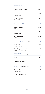| <b>ROSÉ WINE</b>                                        | €     |
|---------------------------------------------------------|-------|
| Donna Fugata, Lumera<br>Sicily, Italy                   | 26.00 |
| Palatino Rosé<br>Camilleri, Malta                       | 18.00 |
| Santa Cristina Rosato<br>Tuscany, Italy                 | 19.00 |
| DESSERT WINE                                            | €     |
| Casella Moscato<br>Delicata, Malta                      | 14.00 |
| Guże Passito<br>Marsovin, Malta                         | 45.00 |
| Moscato d'Asti<br>Asti, Italy                           | 19.00 |
| WHITE WINE (By the Glass)                               | €     |
| Fenici White<br>Meridiana, Malta                        | 4.00  |
| Cape Heights Chenin Blanc<br>Western Cape, South Africa | 4.50  |
| $RED$ WINE (By the Glass)                               | €     |
| Fenici Red<br>Meridiana, Malta                          | 4.00  |
| Cape Heights Merlot<br>Western Cape, South Africa       | 4.50  |
| ROSÉ WINE (By the Glass)                                | €     |
| Palatino Rosé<br>Camilleri, Malta                       | 4.00  |
| Santa Cristina Rosato<br>Tuscany, Italy                 | 4.50  |

I

I